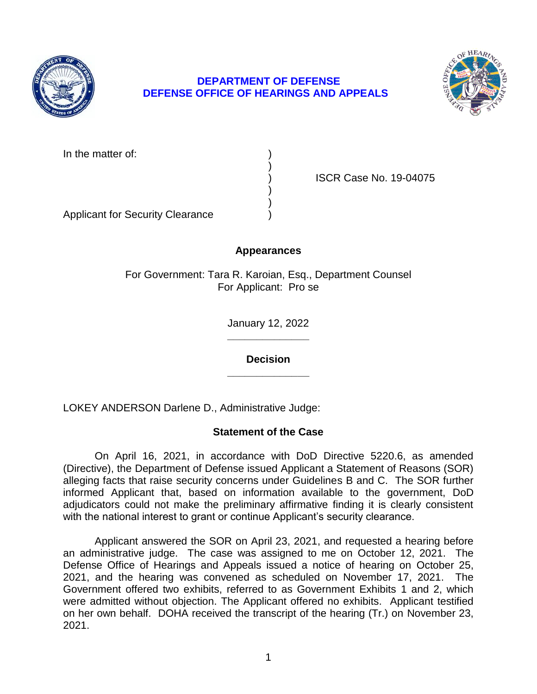

## **DEPARTMENT OF DEFENSE DEFENSE OFFICE OF HEARINGS AND APPEALS**



In the matter of:

) ISCR Case No. 19-04075

Applicant for Security Clearance )

# **Appearances**

)

) )

For Government: Tara R. Karoian, Esq., Department Counsel For Applicant: Pro se

> **\_\_\_\_\_\_\_\_\_\_\_\_\_\_**  January 12, 2022

**\_\_\_\_\_\_\_\_\_\_\_\_\_\_ Decision** 

LOKEY ANDERSON Darlene D., Administrative Judge:

## **Statement of the Case**

 On April 16, 2021, in accordance with DoD Directive 5220.6, as amended (Directive), the Department of Defense issued Applicant a Statement of Reasons (SOR) alleging facts that raise security concerns under Guidelines B and C. The SOR further informed Applicant that, based on information available to the government, DoD adjudicators could not make the preliminary affirmative finding it is clearly consistent with the national interest to grant or continue Applicant's security clearance.

 Applicant answered the SOR on April 23, 2021, and requested a hearing before an administrative judge. The case was assigned to me on October 12, 2021. The Defense Office of Hearings and Appeals issued a notice of hearing on October 25, 2021, and the hearing was convened as scheduled on November 17, 2021. The Government offered two exhibits, referred to as Government Exhibits 1 and 2, which were admitted without objection. The Applicant offered no exhibits. Applicant testified on her own behalf. DOHA received the transcript of the hearing (Tr.) on November 23, 2021.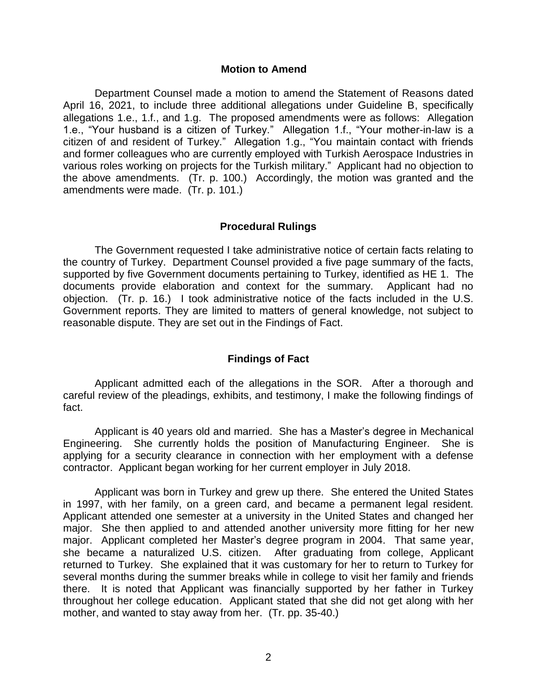#### **Motion to Amend**

 Department Counsel made a motion to amend the Statement of Reasons dated April 16, 2021, to include three additional allegations under Guideline B, specifically allegations 1.e., 1.f., and 1.g. The proposed amendments were as follows: Allegation 1.e., "Your husband is a citizen of Turkey." Allegation 1.f., "Your mother-in-law is a citizen of and resident of Turkey." Allegation 1.g., "You maintain contact with friends and former colleagues who are currently employed with Turkish Aerospace Industries in various roles working on projects for the Turkish military." Applicant had no objection to amendments were made. (Tr. p. 101.) the above amendments. (Tr. p. 100.) Accordingly, the motion was granted and the

#### **Procedural Rulings**

 The Government requested I take administrative notice of certain facts relating to the country of Turkey. Department Counsel provided a five page summary of the facts, supported by five Government documents pertaining to Turkey, identified as HE 1. The documents provide elaboration and context for the summary. Applicant had no objection. (Tr. p. 16.) I took administrative notice of the facts included in the U.S. Government reports. They are limited to matters of general knowledge, not subject to reasonable dispute. They are set out in the Findings of Fact.

### **Findings of Fact**

 Applicant admitted each of the allegations in the SOR. After a thorough and careful review of the pleadings, exhibits, and testimony, I make the following findings of fact.

 Applicant is 40 years old and married. She has a Master's degree in Mechanical applying for a security clearance in connection with her employment with a defense Engineering. She currently holds the position of Manufacturing Engineer. She is contractor. Applicant began working for her current employer in July 2018.

 Applicant was born in Turkey and grew up there. She entered the United States in 1997, with her family, on a green card, and became a permanent legal resident. Applicant attended one semester at a university in the United States and changed her major. She then applied to and attended another university more fitting for her new major. Applicant completed her Master's degree program in 2004. That same year, she became a naturalized U.S. citizen. After graduating from college, Applicant returned to Turkey. She explained that it was customary for her to return to Turkey for several months during the summer breaks while in college to visit her family and friends there. It is noted that Applicant was financially supported by her father in Turkey throughout her college education. Applicant stated that she did not get along with her mother, and wanted to stay away from her. (Tr. pp. 35-40.)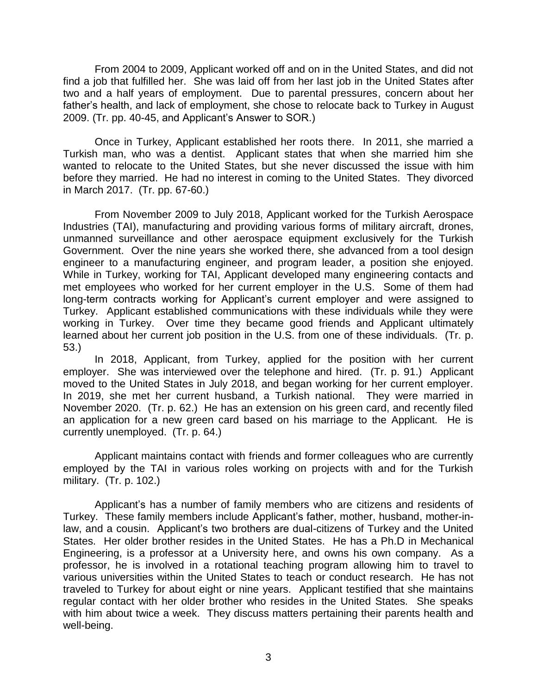From 2004 to 2009, Applicant worked off and on in the United States, and did not find a job that fulfilled her. She was laid off from her last job in the United States after two and a half years of employment. Due to parental pressures, concern about her father's health, and lack of employment, she chose to relocate back to Turkey in August 2009. (Tr. pp. 40-45, and Applicant's Answer to SOR.)

 Once in Turkey, Applicant established her roots there. In 2011, she married a Turkish man, who was a dentist. Applicant states that when she married him she wanted to relocate to the United States, but she never discussed the issue with him before they married. He had no interest in coming to the United States. They divorced in March 2017. (Tr. pp. 67-60.)

 From November 2009 to July 2018, Applicant worked for the Turkish Aerospace Industries (TAI), manufacturing and providing various forms of military aircraft, drones, unmanned surveillance and other aerospace equipment exclusively for the Turkish Government. Over the nine years she worked there, she advanced from a tool design engineer to a manufacturing engineer, and program leader, a position she enjoyed. While in Turkey, working for TAI, Applicant developed many engineering contacts and met employees who worked for her current employer in the U.S. Some of them had long-term contracts working for Applicant's current employer and were assigned to Turkey. Applicant established communications with these individuals while they were working in Turkey. Over time they became good friends and Applicant ultimately learned about her current job position in the U.S. from one of these individuals. (Tr. p.  $53.$ 

 53.) In 2018, Applicant, from Turkey, applied for the position with her current employer. She was interviewed over the telephone and hired. (Tr. p. 91.) Applicant moved to the United States in July 2018, and began working for her current employer. In 2019, she met her current husband, a Turkish national. They were married in November 2020. (Tr. p. 62.) He has an extension on his green card, and recently filed an application for a new green card based on his marriage to the Applicant. He is currently unemployed. (Tr. p. 64.)

 Applicant maintains contact with friends and former colleagues who are currently employed by the TAI in various roles working on projects with and for the Turkish military. (Tr. p. 102.)

 Applicant's has a number of family members who are citizens and residents of Turkey. These family members include Applicant's father, mother, husband, mother-in- law, and a cousin. Applicant's two brothers are dual-citizens of Turkey and the United States. Her older brother resides in the United States. He has a Ph.D in Mechanical Engineering, is a professor at a University here, and owns his own company. As a professor, he is involved in a rotational teaching program allowing him to travel to various universities within the United States to teach or conduct research. He has not traveled to Turkey for about eight or nine years. Applicant testified that she maintains regular contact with her older brother who resides in the United States. She speaks with him about twice a week. They discuss matters pertaining their parents health and well-being.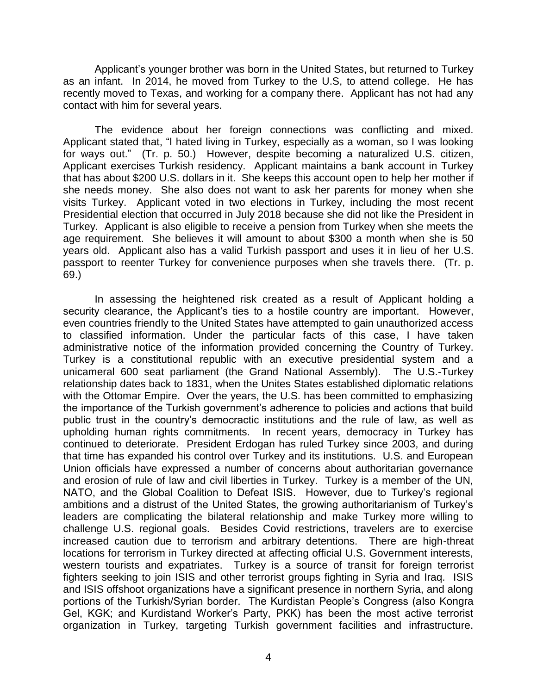as an infant. In 2014, he moved from Turkey to the U.S, to attend college. He has recently moved to Texas, and working for a company there. Applicant has not had any Applicant's younger brother was born in the United States, but returned to Turkey contact with him for several years.

 The evidence about her foreign connections was conflicting and mixed. Applicant stated that, "I hated living in Turkey, especially as a woman, so I was looking for ways out." (Tr. p. 50.) However, despite becoming a naturalized U.S. citizen, Applicant exercises Turkish residency. Applicant maintains a bank account in Turkey that has about \$200 U.S. dollars in it. She keeps this account open to help her mother if she needs money. She also does not want to ask her parents for money when she visits Turkey. Applicant voted in two elections in Turkey, including the most recent Presidential election that occurred in July 2018 because she did not like the President in Turkey. Applicant is also eligible to receive a pension from Turkey when she meets the age requirement. She believes it will amount to about \$300 a month when she is 50 years old. Applicant also has a valid Turkish passport and uses it in lieu of her U.S. passport to reenter Turkey for convenience purposes when she travels there. (Tr. p. 69.)

 In assessing the heightened risk created as a result of Applicant holding a security clearance, the Applicant's ties to a hostile country are important. However, to classified information. Under the particular facts of this case, I have taken administrative notice of the information provided concerning the Country of Turkey. Turkey is a constitutional republic with an executive presidential system and a unicameral 600 seat parliament (the Grand National Assembly). The U.S.-Turkey relationship dates back to 1831, when the Unites States established diplomatic relations with the Ottomar Empire. Over the years, the U.S. has been committed to emphasizing the importance of the Turkish government's adherence to policies and actions that build public trust in the country's democractic institutions and the rule of law, as well as upholding human rights commitments. In recent years, democracy in Turkey has continued to deteriorate. President Erdogan has ruled Turkey since 2003, and during that time has expanded his control over Turkey and its institutions. U.S. and European Union officials have expressed a number of concerns about authoritarian governance and erosion of rule of law and civil liberties in Turkey. Turkey is a member of the UN, NATO, and the Global Coalition to Defeat ISIS. However, due to Turkey's regional ambitions and a distrust of the United States, the growing authoritarianism of Turkey's leaders are complicating the bilateral relationship and make Turkey more willing to challenge U.S. regional goals. Besides Covid restrictions, travelers are to exercise increased caution due to terrorism and arbitrary detentions. There are high-threat locations for terrorism in Turkey directed at affecting official U.S. Government interests, western tourists and expatriates. Turkey is a source of transit for foreign terrorist fighters seeking to join ISIS and other terrorist groups fighting in Syria and Iraq. ISIS and ISIS offshoot organizations have a significant presence in northern Syria, and along portions of the Turkish/Syrian border. The Kurdistan People's Congress (also Kongra Gel, KGK; and Kurdistand Worker's Party, PKK) has been the most active terrorist organization in Turkey, targeting Turkish government facilities and infrastructure. even countries friendly to the United States have attempted to gain unauthorized access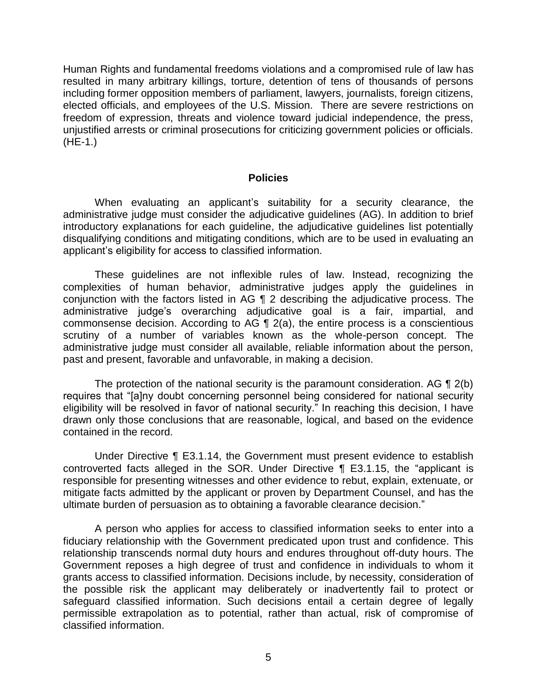Human Rights and fundamental freedoms violations and a compromised rule of law has resulted in many arbitrary killings, torture, detention of tens of thousands of persons elected officials, and employees of the U.S. Mission. There are severe restrictions on freedom of expression, threats and violence toward judicial independence, the press, unjustified arrests or criminal prosecutions for criticizing government policies or officials. including former opposition members of parliament, lawyers, journalists, foreign citizens, (HE-1.)

#### **Policies**

 When evaluating an applicant's suitability for a security clearance, the administrative judge must consider the adjudicative guidelines (AG). In addition to brief introductory explanations for each guideline, the adjudicative guidelines list potentially disqualifying conditions and mitigating conditions, which are to be used in evaluating an applicant's eligibility for access to classified information.

 These guidelines are not inflexible rules of law. Instead, recognizing the complexities of human behavior, administrative judges apply the guidelines in conjunction with the factors listed in AG ¶ 2 describing the adjudicative process. The commonsense decision. According to AG  $\P$  2(a), the entire process is a conscientious scrutiny of a number of variables known as the whole-person concept. The administrative judge must consider all available, reliable information about the person, administrative judge's overarching adjudicative goal is a fair, impartial, and past and present, favorable and unfavorable, in making a decision.

The protection of the national security is the paramount consideration. AG  $\P$  2(b) eligibility will be resolved in favor of national security." In reaching this decision, I have drawn only those conclusions that are reasonable, logical, and based on the evidence requires that "[a]ny doubt concerning personnel being considered for national security contained in the record.

 Under Directive ¶ E3.1.14, the Government must present evidence to establish controverted facts alleged in the SOR. Under Directive ¶ E3.1.15, the "applicant is responsible for presenting witnesses and other evidence to rebut, explain, extenuate, or mitigate facts admitted by the applicant or proven by Department Counsel, and has the ultimate burden of persuasion as to obtaining a favorable clearance decision."

 A person who applies for access to classified information seeks to enter into a fiduciary relationship with the Government predicated upon trust and confidence. This relationship transcends normal duty hours and endures throughout off-duty hours. The Government reposes a high degree of trust and confidence in individuals to whom it grants access to classified information. Decisions include, by necessity, consideration of the possible risk the applicant may deliberately or inadvertently fail to protect or safeguard classified information. Such decisions entail a certain degree of legally permissible extrapolation as to potential, rather than actual, risk of compromise of classified information.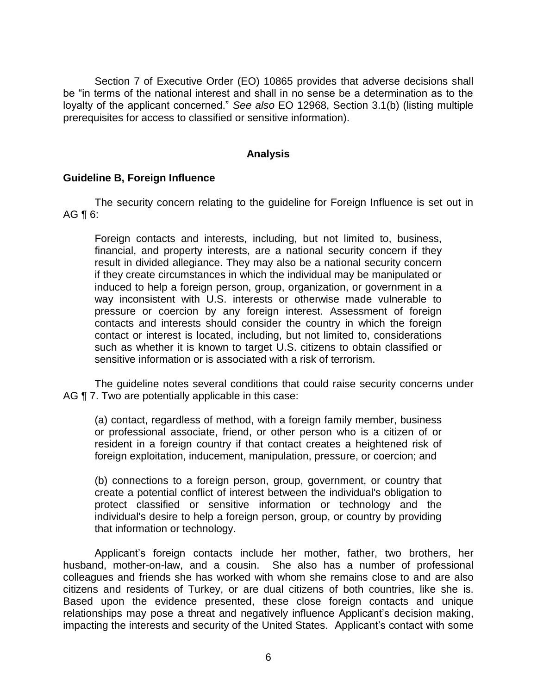Section 7 of Executive Order (EO) 10865 provides that adverse decisions shall be "in terms of the national interest and shall in no sense be a determination as to the loyalty of the applicant concerned." *See also* EO 12968, Section 3.1(b) (listing multiple prerequisites for access to classified or sensitive information).

#### **Analysis**

### **Guideline B, Foreign Influence**

 The security concern relating to the guideline for Foreign Influence is set out in AG ¶ 6:

Foreign contacts and interests, including, but not limited to, business, financial, and property interests, are a national security concern if they result in divided allegiance. They may also be a national security concern if they create circumstances in which the individual may be manipulated or induced to help a foreign person, group, organization, or government in a way inconsistent with U.S. interests or otherwise made vulnerable to pressure or coercion by any foreign interest. Assessment of foreign contacts and interests should consider the country in which the foreign contact or interest is located, including, but not limited to, considerations such as whether it is known to target U.S. citizens to obtain classified or sensitive information or is associated with a risk of terrorism.

 The guideline notes several conditions that could raise security concerns under AG  $\P$  7. Two are potentially applicable in this case:

(a) contact, regardless of method, with a foreign family member, business or professional associate, friend, or other person who is a citizen of or resident in a foreign country if that contact creates a heightened risk of foreign exploitation, inducement, manipulation, pressure, or coercion; and

 (b) connections to a foreign person, group, government, or country that create a potential conflict of interest between the individual's obligation to protect classified or sensitive information or technology and the individual's desire to help a foreign person, group, or country by providing that information or technology.

 husband, mother-on-law, and a cousin. She also has a number of professional colleagues and friends she has worked with whom she remains close to and are also citizens and residents of Turkey, or are dual citizens of both countries, like she is. Based upon the evidence presented, these close foreign contacts and unique relationships may pose a threat and negatively influence Applicant's decision making, impacting the interests and security of the United States. Applicant's contact with some Applicant's foreign contacts include her mother, father, two brothers, her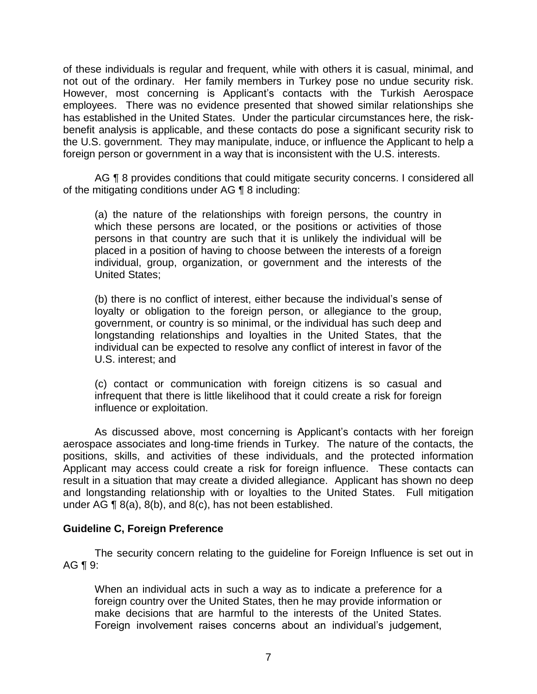of these individuals is regular and frequent, while with others it is casual, minimal, and not out of the ordinary. Her family members in Turkey pose no undue security risk. employees. There was no evidence presented that showed similar relationships she has established in the United States. Under the particular circumstances here, the risk- benefit analysis is applicable, and these contacts do pose a significant security risk to foreign person or government in a way that is inconsistent with the U.S. interests. However, most concerning is Applicant's contacts with the Turkish Aerospace the U.S. government. They may manipulate, induce, or influence the Applicant to help a

foreign person or government in a way that is inconsistent with the U.S. interests.<br>AG ¶ 8 provides conditions that could mitigate security concerns. I considered all of the mitigating conditions under AG ¶ 8 including:

(a) the nature of the relationships with foreign persons, the country in which these persons are located, or the positions or activities of those persons in that country are such that it is unlikely the individual will be placed in a position of having to choose between the interests of a foreign individual, group, organization, or government and the interests of the United States;

(b) there is no conflict of interest, either because the individual's sense of loyalty or obligation to the foreign person, or allegiance to the group, government, or country is so minimal, or the individual has such deep and longstanding relationships and loyalties in the United States, that the individual can be expected to resolve any conflict of interest in favor of the U.S. interest; and

 (c) contact or communication with foreign citizens is so casual and infrequent that there is little likelihood that it could create a risk for foreign influence or exploitation.

 aerospace associates and long-time friends in Turkey. The nature of the contacts, the positions, skills, and activities of these individuals, and the protected information Applicant may access could create a risk for foreign influence. These contacts can result in a situation that may create a divided allegiance. Applicant has shown no deep and longstanding relationship with or loyalties to the United States. Full mitigation under AG  $\P$  8(a), 8(b), and 8(c), has not been established. As discussed above, most concerning is Applicant's contacts with her foreign

### **Guideline C, Foreign Preference**

 The security concern relating to the guideline for Foreign Influence is set out in AG ¶ 9:

When an individual acts in such a way as to indicate a preference for a foreign country over the United States, then he may provide information or make decisions that are harmful to the interests of the United States. Foreign involvement raises concerns about an individual's judgement,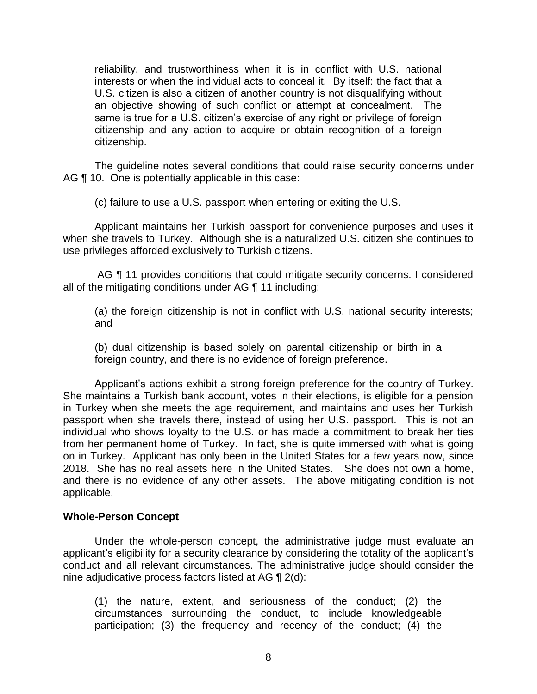reliability, and trustworthiness when it is in conflict with U.S. national interests or when the individual acts to conceal it. By itself: the fact that a U.S. citizen is also a citizen of another country is not disqualifying without an objective showing of such conflict or attempt at concealment. The same is true for a U.S. citizen's exercise of any right or privilege of foreign citizenship and any action to acquire or obtain recognition of a foreign citizenship.

 The guideline notes several conditions that could raise security concerns under AG ¶ 10. One is potentially applicable in this case:

(c) failure to use a U.S. passport when entering or exiting the U.S.

 Applicant maintains her Turkish passport for convenience purposes and uses it when she travels to Turkey. Although she is a naturalized U.S. citizen she continues to use privileges afforded exclusively to Turkish citizens.

AG  $\P$  11 provides conditions that could mitigate security concerns. I considered all of the mitigating conditions under AG ¶ 11 including:

(a) the foreign citizenship is not in conflict with U.S. national security interests; and

 (b) dual citizenship is based solely on parental citizenship or birth in a foreign country, and there is no evidence of foreign preference.

 Applicant's actions exhibit a strong foreign preference for the country of Turkey. She maintains a Turkish bank account, votes in their elections, is eligible for a pension in Turkey when she meets the age requirement, and maintains and uses her Turkish passport when she travels there, instead of using her U.S. passport. This is not an individual who shows loyalty to the U.S. or has made a commitment to break her ties from her permanent home of Turkey. In fact, she is quite immersed with what is going on in Turkey. Applicant has only been in the United States for a few years now, since 2018. She has no real assets here in the United States. She does not own a home, and there is no evidence of any other assets. The above mitigating condition is not applicable.

### **Whole-Person Concept**

 Under the whole-person concept, the administrative judge must evaluate an applicant's eligibility for a security clearance by considering the totality of the applicant's conduct and all relevant circumstances. The administrative judge should consider the nine adjudicative process factors listed at AG ¶ 2(d):

(1) the nature, extent, and seriousness of the conduct; (2) the circumstances surrounding the conduct, to include knowledgeable participation; (3) the frequency and recency of the conduct; (4) the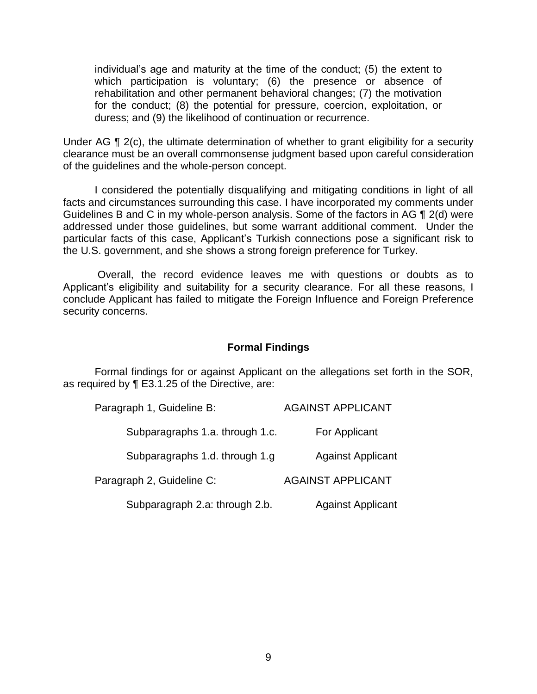individual's age and maturity at the time of the conduct; (5) the extent to which participation is voluntary; (6) the presence or absence of rehabilitation and other permanent behavioral changes; (7) the motivation for the conduct; (8) the potential for pressure, coercion, exploitation, or duress; and (9) the likelihood of continuation or recurrence.

Under AG ¶ 2(c), the ultimate determination of whether to grant eligibility for a security clearance must be an overall commonsense judgment based upon careful consideration of the guidelines and the whole-person concept.

 I considered the potentially disqualifying and mitigating conditions in light of all facts and circumstances surrounding this case. I have incorporated my comments under Guidelines B and C in my whole-person analysis. Some of the factors in AG ¶ 2(d) were addressed under those guidelines, but some warrant additional comment. Under the particular facts of this case, Applicant's Turkish connections pose a significant risk to the U.S. government, and she shows a strong foreign preference for Turkey.

 the U.S. government, and she shows a strong foreign preference for Turkey. Overall, the record evidence leaves me with questions or doubts as to Applicant's eligibility and suitability for a security clearance. For all these reasons, I conclude Applicant has failed to mitigate the Foreign Influence and Foreign Preference security concerns.

#### **Formal Findings**

 Formal findings for or against Applicant on the allegations set forth in the SOR, as required by ¶ E3.1.25 of the Directive, are:

| Paragraph 1, Guideline B:       | <b>AGAINST APPLICANT</b> |
|---------------------------------|--------------------------|
| Subparagraphs 1.a. through 1.c. | For Applicant            |
| Subparagraphs 1.d. through 1.g  | <b>Against Applicant</b> |
| Paragraph 2, Guideline C:       | <b>AGAINST APPLICANT</b> |
| Subparagraph 2.a: through 2.b.  | <b>Against Applicant</b> |